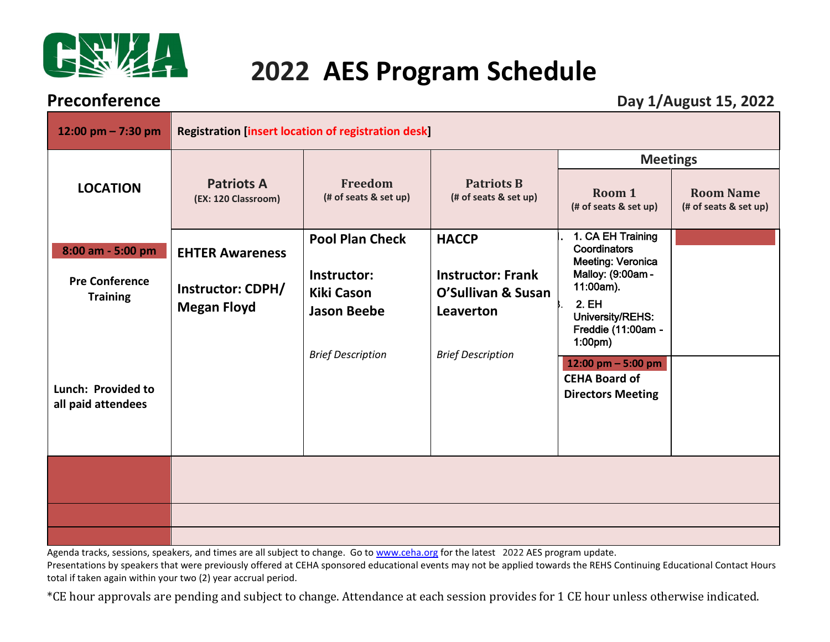

# **2022 AES Program Schedule**

**Preconference** Day 1/August 15, 2022

| 12:00 pm $- 7:30$ pm                                                                | <b>Registration [insert location of registration desk]</b>               |                                                                                                              |                                                                                                         |                                                                                                                                                                                                                   |                                           |
|-------------------------------------------------------------------------------------|--------------------------------------------------------------------------|--------------------------------------------------------------------------------------------------------------|---------------------------------------------------------------------------------------------------------|-------------------------------------------------------------------------------------------------------------------------------------------------------------------------------------------------------------------|-------------------------------------------|
| <b>LOCATION</b>                                                                     | <b>Patriots A</b><br>(EX: 120 Classroom)                                 | Freedom<br>(# of seats & set up)                                                                             | <b>Patriots B</b><br>(# of seats & set up)                                                              | <b>Meetings</b><br>Room 1<br>(# of seats & set up)                                                                                                                                                                | <b>Room Name</b><br>(# of seats & set up) |
| 8:00 am - 5:00 pm<br><b>Pre Conference</b><br><b>Training</b><br>Lunch: Provided to | <b>EHTER Awareness</b><br><b>Instructor: CDPH/</b><br><b>Megan Floyd</b> | <b>Pool Plan Check</b><br>Instructor:<br><b>Kiki Cason</b><br><b>Jason Beebe</b><br><b>Brief Description</b> | <b>HACCP</b><br><b>Instructor: Frank</b><br>O'Sullivan & Susan<br>Leaverton<br><b>Brief Description</b> | 1. CA EH Training<br>Coordinators<br>Meeting: Veronica<br>Malloy: (9:00am -<br>11:00am).<br>2. EH<br>University/REHS:<br>Freddie (11:00am -<br>1:00 <sub>pm</sub><br>12:00 pm $-$ 5:00 pm<br><b>CEHA Board of</b> |                                           |
| all paid attendees                                                                  |                                                                          |                                                                                                              |                                                                                                         | <b>Directors Meeting</b>                                                                                                                                                                                          |                                           |
|                                                                                     |                                                                          |                                                                                                              |                                                                                                         |                                                                                                                                                                                                                   |                                           |

Agenda tracks, sessions, speakers, and times are all subject to change. Go to [www.ceha.org](http://www.ceha.org/) for the latest 2022 AES program update.

Presentations by speakers that were previously offered at CEHA sponsored educational events may not be applied towards the REHS Continuing Educational Contact Hours total if taken again within your two (2) year accrual period.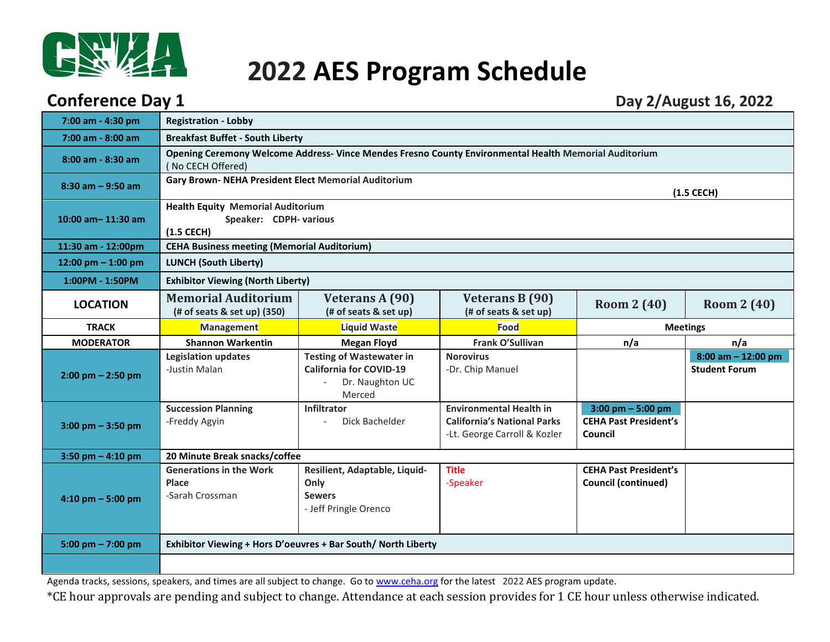

## **2022 AES Program Schedule**

### **Conference Day 1** Day 2/August 16, 2022

| 7:00 am - 4:30 pm     | <b>Registration - Lobby</b>                                                           |                                                                                                       |                                                                                                      |                                                               |                                                |  |
|-----------------------|---------------------------------------------------------------------------------------|-------------------------------------------------------------------------------------------------------|------------------------------------------------------------------------------------------------------|---------------------------------------------------------------|------------------------------------------------|--|
| 7:00 am - 8:00 am     | <b>Breakfast Buffet - South Liberty</b>                                               |                                                                                                       |                                                                                                      |                                                               |                                                |  |
| 8:00 am - 8:30 am     | (No CECH Offered)                                                                     | Opening Ceremony Welcome Address- Vince Mendes Fresno County Environmental Health Memorial Auditorium |                                                                                                      |                                                               |                                                |  |
| $8:30$ am $-9:50$ am  | Gary Brown- NEHA President Elect Memorial Auditorium                                  |                                                                                                       |                                                                                                      |                                                               | $(1.5$ CECH $)$                                |  |
| 10:00 am $-$ 11:30 am | <b>Health Equity Memorial Auditorium</b><br>Speaker: CDPH- various<br>$(1.5$ CECH $)$ |                                                                                                       |                                                                                                      |                                                               |                                                |  |
| 11:30 am - 12:00pm    | <b>CEHA Business meeting (Memorial Auditorium)</b>                                    |                                                                                                       |                                                                                                      |                                                               |                                                |  |
| 12:00 pm $-$ 1:00 pm  | <b>LUNCH (South Liberty)</b>                                                          |                                                                                                       |                                                                                                      |                                                               |                                                |  |
| 1:00PM - 1:50PM       | <b>Exhibitor Viewing (North Liberty)</b>                                              |                                                                                                       |                                                                                                      |                                                               |                                                |  |
| <b>LOCATION</b>       | <b>Memorial Auditorium</b><br>(# of seats & set up) (350)                             | Veterans A (90)<br>(# of seats & set up)                                                              | Veterans B (90)<br>(# of seats & set up)                                                             | <b>Room 2 (40)</b>                                            | <b>Room 2 (40)</b>                             |  |
| <b>TRACK</b>          | Management                                                                            | Liquid Waste                                                                                          | Food                                                                                                 | <b>Meetings</b>                                               |                                                |  |
| <b>MODERATOR</b>      | <b>Shannon Warkentin</b>                                                              | <b>Megan Floyd</b>                                                                                    | Frank O'Sullivan                                                                                     | n/a                                                           | n/a                                            |  |
| $2:00$ pm $- 2:50$ pm | <b>Legislation updates</b><br>-Justin Malan                                           | <b>Testing of Wastewater in</b><br><b>California for COVID-19</b><br>Dr. Naughton UC<br>Merced        | <b>Norovirus</b><br>-Dr. Chip Manuel                                                                 |                                                               | $8:00$ am $- 12:00$ pm<br><b>Student Forum</b> |  |
| $3:00$ pm $-3:50$ pm  | <b>Succession Planning</b><br>-Freddy Agyin                                           | Infiltrator<br>Dick Bachelder                                                                         | <b>Environmental Health in</b><br><b>California's National Parks</b><br>-Lt. George Carroll & Kozler | 3:00 pm $-5:00$ pm<br><b>CEHA Past President's</b><br>Council |                                                |  |
| $3:50$ pm $- 4:10$ pm | 20 Minute Break snacks/coffee                                                         |                                                                                                       |                                                                                                      |                                                               |                                                |  |
| $4:10$ pm $-5:00$ pm  | <b>Generations in the Work</b><br>Place<br>-Sarah Crossman                            | Resilient, Adaptable, Liquid-<br>Only<br><b>Sewers</b><br>- Jeff Pringle Orenco                       | <b>Title</b><br>-Speaker                                                                             | <b>CEHA Past President's</b><br><b>Council (continued)</b>    |                                                |  |
| 5:00 pm $- 7:00$ pm   | Exhibitor Viewing + Hors D'oeuvres + Bar South/ North Liberty                         |                                                                                                       |                                                                                                      |                                                               |                                                |  |
|                       |                                                                                       |                                                                                                       |                                                                                                      |                                                               |                                                |  |

Agenda tracks, sessions, speakers, and times are all subject to change. Go to [www.ceha.org](http://www.ceha.org/) for the latest 2022 AES program update.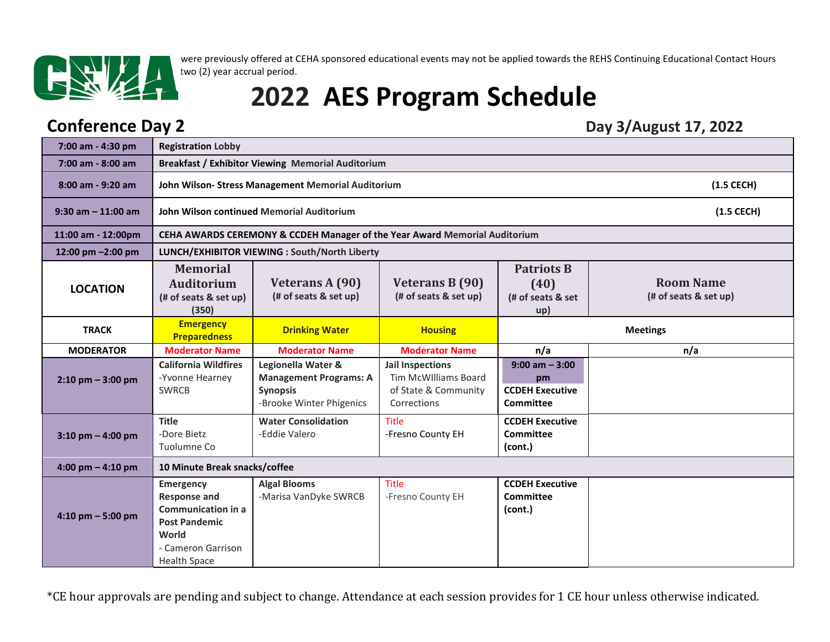

were previously offered at CEHA sponsored educational events may not be applied towards the REHS Continuing Educational Contact Hours two (2) year accrual period.

# **2022 AES Program Schedule**

### **Conference Day 2** Day 3/August 17, 2022

| 7:00 am - 4:30 pm                   | <b>Registration Lobby</b>                                                                                                                          |                                                                                                    |                                                                                        |                                                                       |                                           |  |
|-------------------------------------|----------------------------------------------------------------------------------------------------------------------------------------------------|----------------------------------------------------------------------------------------------------|----------------------------------------------------------------------------------------|-----------------------------------------------------------------------|-------------------------------------------|--|
| $7:00$ am - 8:00 am                 |                                                                                                                                                    | <b>Breakfast / Exhibitor Viewing Memorial Auditorium</b>                                           |                                                                                        |                                                                       |                                           |  |
| 8:00 am - 9:20 am                   |                                                                                                                                                    | $(1.5$ CECH $)$<br>John Wilson-Stress Management Memorial Auditorium                               |                                                                                        |                                                                       |                                           |  |
| $9:30$ am $-11:00$ am               |                                                                                                                                                    | John Wilson continued Memorial Auditorium<br>$(1.5$ CECH $)$                                       |                                                                                        |                                                                       |                                           |  |
| 11:00 am - 12:00pm                  |                                                                                                                                                    | CEHA AWARDS CEREMONY & CCDEH Manager of the Year Award Memorial Auditorium                         |                                                                                        |                                                                       |                                           |  |
| 12:00 pm -2:00 pm                   |                                                                                                                                                    | LUNCH/EXHIBITOR VIEWING : South/North Liberty                                                      |                                                                                        |                                                                       |                                           |  |
| <b>LOCATION</b>                     | <b>Memorial</b><br><b>Auditorium</b><br>(# of seats & set up)<br>(350)                                                                             | <b>Veterans A (90)</b><br>(# of seats & set up)                                                    | Veterans B (90)<br>(# of seats & set up)                                               | <b>Patriots B</b><br>(40)<br>(# of seats & set<br>up)                 | <b>Room Name</b><br>(# of seats & set up) |  |
| <b>TRACK</b>                        | <b>Emergency</b><br><b>Preparedness</b>                                                                                                            | <b>Drinking Water</b>                                                                              | <b>Housing</b>                                                                         | <b>Meetings</b>                                                       |                                           |  |
| <b>MODERATOR</b>                    | <b>Moderator Name</b>                                                                                                                              | <b>Moderator Name</b>                                                                              | <b>Moderator Name</b>                                                                  | n/a                                                                   | n/a                                       |  |
| $2:10$ pm $-3:00$ pm                | <b>California Wildfires</b><br>-Yvonne Hearney<br><b>SWRCB</b>                                                                                     | Legionella Water &<br><b>Management Programs: A</b><br><b>Synopsis</b><br>-Brooke Winter Phigenics | <b>Jail Inspections</b><br>Tim McWIlliams Board<br>of State & Community<br>Corrections | $9:00$ am $-3:00$<br>pm<br><b>CCDEH Executive</b><br><b>Committee</b> |                                           |  |
| $3:10$ pm $-$ 4:00 pm               | <b>Title</b><br>-Dore Bietz<br>Tuolumne Co                                                                                                         | <b>Water Consolidation</b><br>-Eddie Valero                                                        | Title<br>-Fresno County EH                                                             | <b>CCDEH Executive</b><br>Committee<br>(cont.)                        |                                           |  |
| $4:00 \text{ pm} - 4:10 \text{ pm}$ | 10 Minute Break snacks/coffee                                                                                                                      |                                                                                                    |                                                                                        |                                                                       |                                           |  |
| $4:10$ pm $-5:00$ pm                | <b>Emergency</b><br><b>Response and</b><br><b>Communication in a</b><br><b>Post Pandemic</b><br>World<br>- Cameron Garrison<br><b>Health Space</b> | <b>Algal Blooms</b><br>-Marisa VanDyke SWRCB                                                       | <b>Title</b><br>-Fresno County EH                                                      | <b>CCDEH Executive</b><br><b>Committee</b><br>(cont.)                 |                                           |  |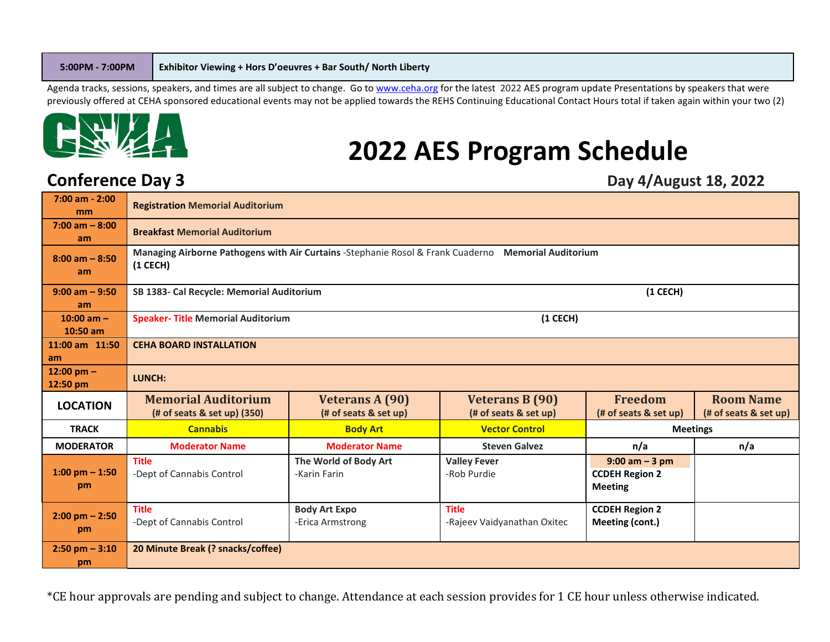Agenda tracks, sessions, speakers, and times are all subject to change. Go to [www.ceha.org](http://www.ceha.org/) for the latest 2022 AES program update Presentations by speakers that were previously offered at CEHA sponsored educational events may not be applied towards the REHS Continuing Educational Contact Hours total if taken again within your two (2)



## **2022 AES Program Schedule**

### **Conference Day 3** Day 4/August 18, 2022

| $7:00$ am - 2:00<br>mm         | <b>Registration Memorial Auditorium</b>                                                                            |                                                 |                                                 |                                                              |                                           |
|--------------------------------|--------------------------------------------------------------------------------------------------------------------|-------------------------------------------------|-------------------------------------------------|--------------------------------------------------------------|-------------------------------------------|
| $7:00$ am $-8:00$<br>am        | <b>Breakfast Memorial Auditorium</b>                                                                               |                                                 |                                                 |                                                              |                                           |
| $8:00$ am $-8:50$<br>am        | Managing Airborne Pathogens with Air Curtains - Stephanie Rosol & Frank Cuaderno Memorial Auditorium<br>$(1$ CECH) |                                                 |                                                 |                                                              |                                           |
| $9:00$ am $-9:50$<br>am        | SB 1383- Cal Recycle: Memorial Auditorium<br>$(1$ CECH)                                                            |                                                 |                                                 |                                                              |                                           |
| 10:00 am $-$<br>$10:50$ am     | $(1$ CECH $)$<br><b>Speaker- Title Memorial Auditorium</b>                                                         |                                                 |                                                 |                                                              |                                           |
| 11:00 am 11:50<br>am           | <b>CEHA BOARD INSTALLATION</b>                                                                                     |                                                 |                                                 |                                                              |                                           |
| 12:00 pm $-$<br>12:50 pm       | LUNCH:                                                                                                             |                                                 |                                                 |                                                              |                                           |
| <b>LOCATION</b>                | <b>Memorial Auditorium</b><br>(# of seats & set up) (350)                                                          | <b>Veterans A (90)</b><br>(# of seats & set up) | <b>Veterans B (90)</b><br>(# of seats & set up) | <b>Freedom</b><br>(# of seats & set up)                      | <b>Room Name</b><br>(# of seats & set up) |
| <b>TRACK</b>                   | <b>Cannabis</b>                                                                                                    | <b>Body Art</b>                                 | <b>Vector Control</b>                           | <b>Meetings</b>                                              |                                           |
| <b>MODERATOR</b>               | <b>Moderator Name</b>                                                                                              | <b>Moderator Name</b>                           | <b>Steven Galvez</b>                            | n/a                                                          | n/a                                       |
| 1:00 pm $-$ 1:50<br>pm         | <b>Title</b><br>-Dept of Cannabis Control                                                                          | The World of Body Art<br>-Karin Farin           | <b>Valley Fever</b><br>-Rob Purdie              | $9:00$ am $-3$ pm<br><b>CCDEH Region 2</b><br><b>Meeting</b> |                                           |
| $2:00 \text{ pm} - 2:50$<br>pm | <b>Title</b><br>-Dept of Cannabis Control                                                                          | <b>Body Art Expo</b><br>-Erica Armstrong        | <b>Title</b><br>-Rajeev Vaidyanathan Oxitec     | <b>CCDEH Region 2</b><br>Meeting (cont.)                     |                                           |
| $2:50$ pm $-3:10$<br>pm        | 20 Minute Break (? snacks/coffee)                                                                                  |                                                 |                                                 |                                                              |                                           |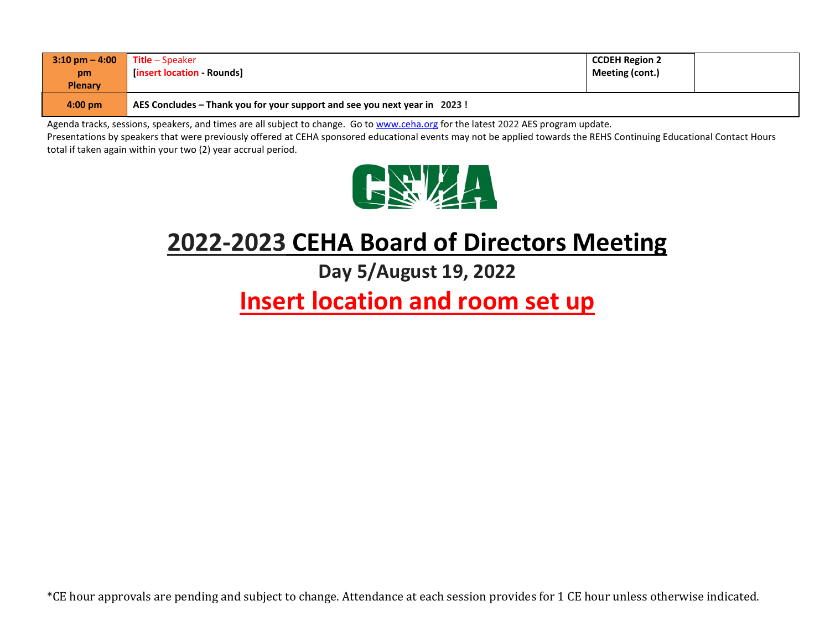| $3:10 \text{ pm} - 4:00$<br>pm<br><b>Plenary</b> | <b>Title</b> – Speaker<br>[insert location - Rounds]                      | <b>CCDEH Region 2</b><br>Meeting (cont.) |  |
|--------------------------------------------------|---------------------------------------------------------------------------|------------------------------------------|--|
| $4:00 \text{ pm}$                                | AES Concludes – Thank you for your support and see you next year in 2023! |                                          |  |

Agenda tracks, sessions, speakers, and times are all subject to change. Go to [www.ceha.org](http://www.ceha.org/) for the latest 2022 AES program update.

Presentations by speakers that were previously offered at CEHA sponsored educational events may not be applied towards the REHS Continuing Educational Contact Hours total if taken again within your two (2) year accrual period.



## **2022-2023 CEHA Board of Directors Meeting**

**Day 5/August 19, 2022**

## **Insert location and room set up**